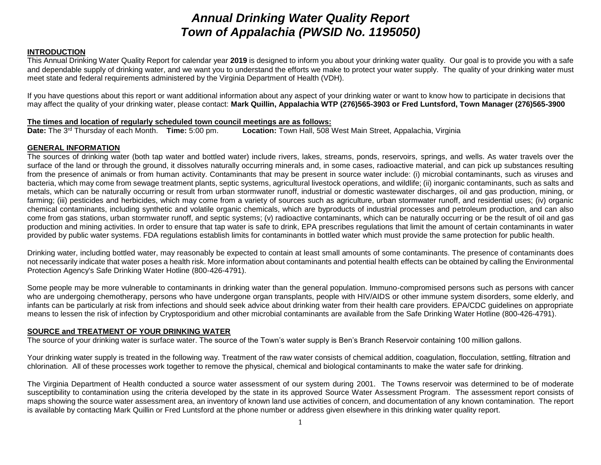# *Annual Drinking Water Quality Report Town of Appalachia (PWSID No. 1195050)*

# **INTRODUCTION**

This Annual Drinking Water Quality Report for calendar year **2019** is designed to inform you about your drinking water quality. Our goal is to provide you with a safe and dependable supply of drinking water, and we want you to understand the efforts we make to protect your water supply. The quality of your drinking water must meet state and federal requirements administered by the Virginia Department of Health (VDH).

If you have questions about this report or want additional information about any aspect of your drinking water or want to know how to participate in decisions that may affect the quality of your drinking water, please contact: **Mark Quillin, Appalachia WTP (276)565-3903 or Fred Luntsford, Town Manager (276)565-3900**

#### **The times and location of regularly scheduled town council meetings are as follows:**

**Date:** The 3rd Thursday of each Month. **Time:** 5:00 pm. **Location:** Town Hall, 508 West Main Street, Appalachia, Virginia

#### **GENERAL INFORMATION**

The sources of drinking water (both tap water and bottled water) include rivers, lakes, streams, ponds, reservoirs, springs, and wells. As water travels over the surface of the land or through the ground, it dissolves naturally occurring minerals and, in some cases, radioactive material, and can pick up substances resulting from the presence of animals or from human activity. Contaminants that may be present in source water include: (i) microbial contaminants, such as viruses and bacteria, which may come from sewage treatment plants, septic systems, agricultural livestock operations, and wildlife; (ii) inorganic contaminants, such as salts and metals, which can be naturally occurring or result from urban stormwater runoff, industrial or domestic wastewater discharges, oil and gas production, mining, or farming; (iii) pesticides and herbicides, which may come from a variety of sources such as agriculture, urban stormwater runoff, and residential uses; (iv) organic chemical contaminants, including synthetic and volatile organic chemicals, which are byproducts of industrial processes and petroleum production, and can also come from gas stations, urban stormwater runoff, and septic systems; (v) radioactive contaminants, which can be naturally occurring or be the result of oil and gas production and mining activities. In order to ensure that tap water is safe to drink, EPA prescribes regulations that limit the amount of certain contaminants in water provided by public water systems. FDA regulations establish limits for contaminants in bottled water which must provide the same protection for public health.

Drinking water, including bottled water, may reasonably be expected to contain at least small amounts of some contaminants. The presence of contaminants does not necessarily indicate that water poses a health risk. More information about contaminants and potential health effects can be obtained by calling the Environmental Protection Agency's Safe Drinking Water Hotline (800-426-4791).

Some people may be more vulnerable to contaminants in drinking water than the general population. Immuno-compromised persons such as persons with cancer who are undergoing chemotherapy, persons who have undergone organ transplants, people with HIV/AIDS or other immune system disorders, some elderly, and infants can be particularly at risk from infections and should seek advice about drinking water from their health care providers. EPA/CDC guidelines on appropriate means to lessen the risk of infection by Cryptosporidium and other microbial contaminants are available from the Safe Drinking Water Hotline (800-426-4791).

#### **SOURCE and TREATMENT OF YOUR DRINKING WATER**

The source of your drinking water is surface water. The source of the Town's water supply is Ben's Branch Reservoir containing 100 million gallons.

Your drinking water supply is treated in the following way. Treatment of the raw water consists of chemical addition, coagulation, flocculation, settling, filtration and chlorination. All of these processes work together to remove the physical, chemical and biological contaminants to make the water safe for drinking.

The Virginia Department of Health conducted a source water assessment of our system during 2001. The Towns reservoir was determined to be of moderate susceptibility to contamination using the criteria developed by the state in its approved Source Water Assessment Program. The assessment report consists of maps showing the source water assessment area, an inventory of known land use activities of concern, and documentation of any known contamination. The report is available by contacting Mark Quillin or Fred Luntsford at the phone number or address given elsewhere in this drinking water quality report.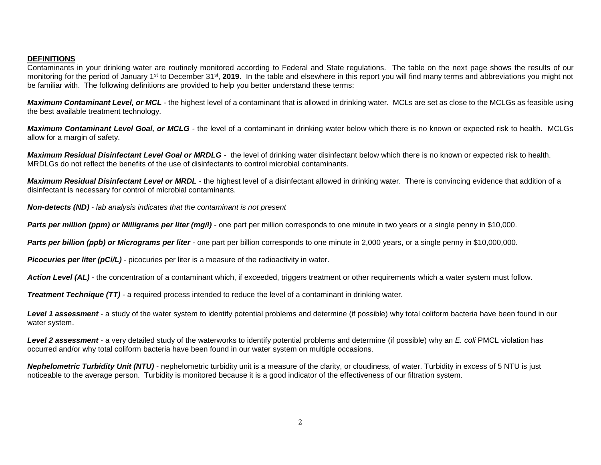#### **DEFINITIONS**

Contaminants in your drinking water are routinely monitored according to Federal and State regulations. The table on the next page shows the results of our monitoring for the period of January 1<sup>st</sup> to December 31<sup>st</sup>, 2019. In the table and elsewhere in this report you will find many terms and abbreviations you might not be familiar with. The following definitions are provided to help you better understand these terms:

*Maximum Contaminant Level, or MCL* - the highest level of a contaminant that is allowed in drinking water. MCLs are set as close to the MCLGs as feasible using the best available treatment technology.

*Maximum Contaminant Level Goal, or MCLG -* the level of a contaminant in drinking water below which there is no known or expected risk to health. MCLGs allow for a margin of safety.

*Maximum Residual Disinfectant Level Goal or MRDLG* - the level of drinking water disinfectant below which there is no known or expected risk to health. MRDLGs do not reflect the benefits of the use of disinfectants to control microbial contaminants.

*Maximum Residual Disinfectant Level or MRDL -* the highest level of a disinfectant allowed in drinking water. There is convincing evidence that addition of a disinfectant is necessary for control of microbial contaminants.

*Non-detects (ND) - lab analysis indicates that the contaminant is not present*

**Parts per million (ppm) or Milligrams per liter (mg/l)** - one part per million corresponds to one minute in two years or a single penny in \$10,000.

*Parts per billion (ppb) or Micrograms per liter* - one part per billion corresponds to one minute in 2,000 years, or a single penny in \$10,000,000.

**Picocuries per liter (pCi/L)** - picocuries per liter is a measure of the radioactivity in water.

Action Level *(AL)* - the concentration of a contaminant which, if exceeded, triggers treatment or other requirements which a water system must follow.

*Treatment Technique (TT)* - a required process intended to reduce the level of a contaminant in drinking water.

Level 1 assessment - a study of the water system to identify potential problems and determine (if possible) why total coliform bacteria have been found in our water system.

*Level 2 assessment* - a very detailed study of the waterworks to identify potential problems and determine (if possible) why an *E. coli* PMCL violation has occurred and/or why total coliform bacteria have been found in our water system on multiple occasions.

*Nephelometric Turbidity Unit (NTU)* - nephelometric turbidity unit is a measure of the clarity, or cloudiness, of water. Turbidity in excess of 5 NTU is just noticeable to the average person. Turbidity is monitored because it is a good indicator of the effectiveness of our filtration system.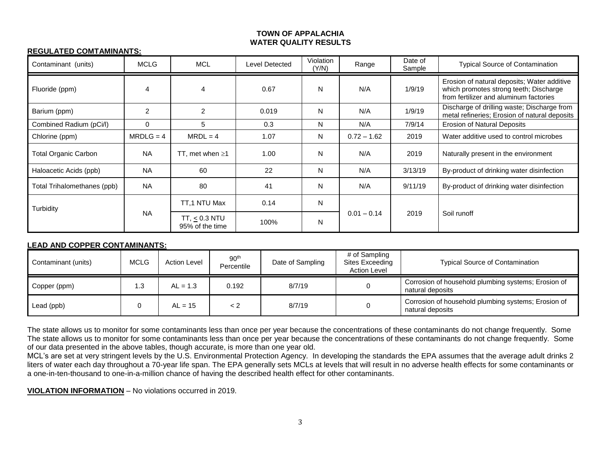#### **TOWN OF APPALACHIA WATER QUALITY RESULTS**

# **REGULATED COMTAMINANTS:**

| Contaminant (units)         | <b>MCLG</b>    | <b>MCL</b>                         | Level Detected | Violation<br>(Y/N) | Range         | Date of<br>Sample | <b>Typical Source of Contamination</b>                                                                                          |
|-----------------------------|----------------|------------------------------------|----------------|--------------------|---------------|-------------------|---------------------------------------------------------------------------------------------------------------------------------|
| Fluoride (ppm)              | 4              | 4                                  | 0.67           | N                  | N/A           | 1/9/19            | Erosion of natural deposits; Water additive<br>which promotes strong teeth; Discharge<br>from fertilizer and aluminum factories |
| Barium (ppm)                | $\overline{c}$ | $\overline{2}$                     | 0.019          | N                  | N/A           | 1/9/19            | Discharge of drilling waste; Discharge from<br>metal refineries; Erosion of natural deposits                                    |
| Combined Radium (pCi/l)     | $\Omega$       | 5                                  | 0.3            | N                  | N/A           | 7/9/14            | <b>Erosion of Natural Deposits</b>                                                                                              |
| Chlorine (ppm)              | $MRDLG = 4$    | $MRDL = 4$                         | 1.07           | N                  | $0.72 - 1.62$ | 2019              | Water additive used to control microbes                                                                                         |
| <b>Total Organic Carbon</b> | <b>NA</b>      | TT, met when $\geq 1$              | 1.00           | N                  | N/A           | 2019              | Naturally present in the environment                                                                                            |
| Haloacetic Acids (ppb)      | <b>NA</b>      | 60                                 | 22             | N                  | N/A           | 3/13/19           | By-product of drinking water disinfection                                                                                       |
| Total Trihalomethanes (ppb) | <b>NA</b>      | 80                                 | 41             | N                  | N/A           | 9/11/19           | By-product of drinking water disinfection                                                                                       |
| Turbidity                   | <b>NA</b>      | TT,1 NTU Max                       | 0.14           | N                  | $0.01 - 0.14$ | 2019              | Soil runoff                                                                                                                     |
|                             |                | $TT, < 0.3$ NTU<br>95% of the time | 100%           | N                  |               |                   |                                                                                                                                 |

#### **LEAD AND COPPER CONTAMINANTS:**

| Contaminant (units) | <b>MCLG</b> | <b>Action Level</b> | 90 <sup>th</sup><br>Percentile | Date of Sampling | # of Sampling<br>Sites Exceeding<br><b>Action Level</b> | <b>Typical Source of Contamination</b>                                  |
|---------------------|-------------|---------------------|--------------------------------|------------------|---------------------------------------------------------|-------------------------------------------------------------------------|
| Copper (ppm)        | .3          | $AL = 1.3$          | 0.192                          | 8/7/19           |                                                         | Corrosion of household plumbing systems; Erosion of<br>natural deposits |
| Lead (ppb)          |             | $AL = 15$           | < 2                            | 8/7/19           |                                                         | Corrosion of household plumbing systems; Erosion of<br>natural deposits |

The state allows us to monitor for some contaminants less than once per year because the concentrations of these contaminants do not change frequently. Some The state allows us to monitor for some contaminants less than once per year because the concentrations of these contaminants do not change frequently. Some of our data presented in the above tables, though accurate, is more than one year old.

MCL's are set at very stringent levels by the U.S. Environmental Protection Agency. In developing the standards the EPA assumes that the average adult drinks 2 liters of water each day throughout a 70-year life span. The EPA generally sets MCLs at levels that will result in no adverse health effects for some contaminants or a one-in-ten-thousand to one-in-a-million chance of having the described health effect for other contaminants.

**VIOLATION INFORMATION** – No violations occurred in 2019.